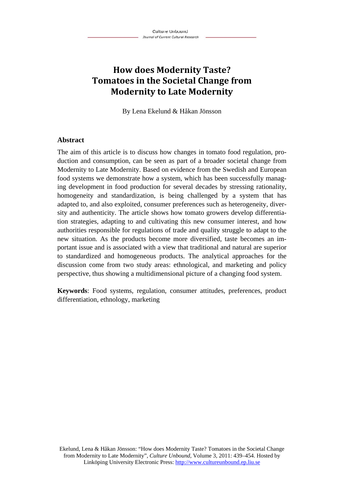# **How does Modernity Taste? Tomatoes in the Societal Change from Modernity to Late Modernity**

By Lena Ekelund & Håkan Jönsson

#### **Abstract**

The aim of this article is to discuss how changes in tomato food regulation, production and consumption, can be seen as part of a broader societal change from Modernity to Late Modernity. Based on evidence from the Swedish and European food systems we demonstrate how a system, which has been successfully managing development in food production for several decades by stressing rationality, homogeneity and standardization, is being challenged by a system that has adapted to, and also exploited, consumer preferences such as heterogeneity, diversity and authenticity. The article shows how tomato growers develop differentiation strategies, adapting to and cultivating this new consumer interest, and how authorities responsible for regulations of trade and quality struggle to adapt to the new situation. As the products become more diversified, taste becomes an important issue and is associated with a view that traditional and natural are superior to standardized and homogeneous products. The analytical approaches for the discussion come from two study areas: ethnological, and marketing and policy perspective, thus showing a multidimensional picture of a changing food system.

**Keywords**: Food systems, regulation, consumer attitudes, preferences, product differentiation, ethnology, marketing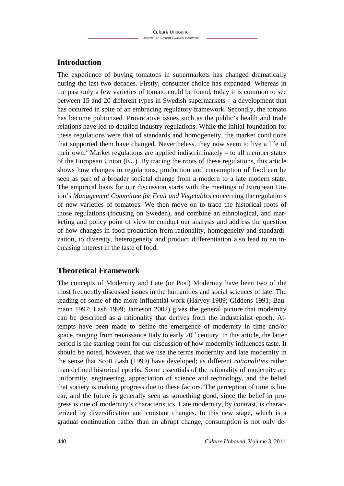# **Introduction**

The experience of buying tomatoes in supermarkets has changed dramatically during the last two decades. Firstly, consumer choice has expanded. Whereas in the past only a few varieties of tomato could be found, today it is common to see between 15 and 20 different types in Swedish supermarkets – a development that has occurred in spite of an embracing regulatory framework. Secondly, the tomato has become politicized. Provocative issues such as the public's health and trade relations have led to detailed industry regulations. While the initial foundation for these regulations were that of standards and homogeneity, the market conditions that supported them have changed. Nevertheless, they now seem to live a life of their own.<sup>1</sup> Market regulations are applied indiscriminately  $-$  to all member states of the European Union (EU). By tracing the roots of these regulations, this article shows how changes in regulations, production and consumption of food can be seen as part of a broader societal change from a modern to a late modern state. The empirical basis for our discussion starts with the meetings of European Union's *Management Committee for Fruit and Vegetables* concerning the regulations of new varieties of tomatoes. We then move on to trace the historical roots of those regulations (focusing on Sweden), and combine an ethnological, and marketing and policy point of view to conduct our analysis and address the question of how changes in food production from rationality, homogeneity and standardization, to diversity, heterogeneity and product differentiation also lead to an increasing interest in the taste of food.

# **Theoretical Framework**

The concepts of Modernity and Late (or Post) Modernity have been two of the most frequently discussed issues in the humanities and social sciences of late. The reading of some of the more influential work (Harvey 1989; Giddens 1991; Baumann 1997; Lash 1999; Jameson 2002) gives the general picture that modernity can be described as a rationality that derives from the industrialist epoch. Attempts have been made to define the emergence of modernity in time and/or space, ranging from renaissance Italy to early  $20<sup>th</sup>$  century. In this article, the latter period is the starting point for our discussion of how modernity influences taste. It should be noted, however, that we use the terms modernity and late modernity in the sense that Scott Lash (1999) have developed; as different *rationalities* rather than defined historical epochs. Some essentials of the rationality of modernity are uniformity, engineering, appreciation of science and technology, and the belief that society is making progress due to these factors. The perception of time is linear, and the future is generally seen as something good, since the belief in progress is one of modernity's characteristics. Late modernity, by contrast, is characterized by diversification and constant changes. In this new stage, which is a gradual continuation rather than an abrupt change, consumption is not only de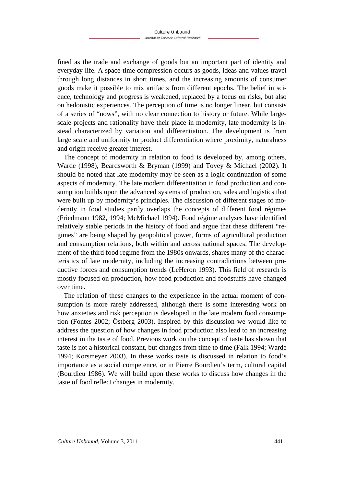fined as the trade and exchange of goods but an important part of identity and everyday life. A space-time compression occurs as goods, ideas and values travel through long distances in short times, and the increasing amounts of consumer goods make it possible to mix artifacts from different epochs. The belief in science, technology and progress is weakened, replaced by a focus on risks, but also on hedonistic experiences. The perception of time is no longer linear, but consists of a series of "nows", with no clear connection to history or future. While largescale projects and rationality have their place in modernity, late modernity is instead characterized by variation and differentiation. The development is from large scale and uniformity to product differentiation where proximity, naturalness and origin receive greater interest.

The concept of modernity in relation to food is developed by, among others, Warde (1998), Beardsworth & Bryman (1999) and Tovey & Michael (2002). It should be noted that late modernity may be seen as a logic continuation of some aspects of modernity. The late modern differentiation in food production and consumption builds upon the advanced systems of production, sales and logistics that were built up by modernity's principles. The discussion of different stages of modernity in food studies partly overlaps the concepts of different food régimes (Friedmann 1982, 1994; McMichael 1994). Food régime analyses have identified relatively stable periods in the history of food and argue that these different "regimes" are being shaped by geopolitical power, forms of agricultural production and consumption relations, both within and across national spaces. The development of the third food regime from the 1980s onwards, shares many of the characteristics of late modernity, including the increasing contradictions between productive forces and consumption trends (LeHeron 1993). This field of research is mostly focused on production, how food production and foodstuffs have changed over time.

The relation of these changes to the experience in the actual moment of consumption is more rarely addressed, although there is some interesting work on how anxieties and risk perception is developed in the late modern food consumption (Fontes 2002; Östberg 2003). Inspired by this discussion we would like to address the question of how changes in food production also lead to an increasing interest in the taste of food. Previous work on the concept of taste has shown that taste is not a historical constant, but changes from time to time (Falk 1994; Warde 1994; Korsmeyer 2003). In these works taste is discussed in relation to food's importance as a social competence, or in Pierre Bourdieu's term, cultural capital (Bourdieu 1986). We will build upon these works to discuss how changes in the taste of food reflect changes in modernity.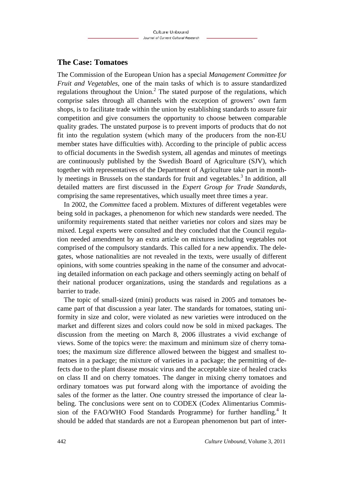#### **The Case: Tomatoes**

The Commission of the European Union has a special *Management Committee for Fruit and Vegetables,* one of the main tasks of which is to assure standardized regulations throughout the Union.<sup>2</sup> The stated purpose of the regulations, which comprise sales through all channels with the exception of growers' own farm shops, is to facilitate trade within the union by establishing standards to assure fair competition and give consumers the opportunity to choose between comparable quality grades. The unstated purpose is to prevent imports of products that do not fit into the regulation system (which many of the producers from the non-EU member states have difficulties with). According to the principle of public access to official documents in the Swedish system, all agendas and minutes of meetings are continuously published by the Swedish Board of Agriculture (SJV), which together with representatives of the Department of Agriculture take part in monthly meetings in Brussels on the standards for fruit and vegetables.<sup>3</sup> In addition, all detailed matters are first discussed in the *Expert Group for Trade Standards*, comprising the same representatives, which usually meet three times a year.

In 2002, the *Committee* faced a problem. Mixtures of different vegetables were being sold in packages, a phenomenon for which new standards were needed. The uniformity requirements stated that neither varieties nor colors and sizes may be mixed. Legal experts were consulted and they concluded that the Council regulation needed amendment by an extra article on mixtures including vegetables not comprised of the compulsory standards. This called for a new appendix. The delegates, whose nationalities are not revealed in the texts, were usually of different opinions, with some countries speaking in the name of the consumer and advocating detailed information on each package and others seemingly acting on behalf of their national producer organizations, using the standards and regulations as a barrier to trade.

The topic of small-sized (mini) products was raised in 2005 and tomatoes became part of that discussion a year later. The standards for tomatoes, stating uniformity in size and color, were violated as new varieties were introduced on the market and different sizes and colors could now be sold in mixed packages. The discussion from the meeting on March 8, 2006 illustrates a vivid exchange of views. Some of the topics were: the maximum and minimum size of cherry tomatoes; the maximum size difference allowed between the biggest and smallest tomatoes in a package; the mixture of varieties in a package; the permitting of defects due to the plant disease mosaic virus and the acceptable size of healed cracks on class II and on cherry tomatoes. The danger in mixing cherry tomatoes and ordinary tomatoes was put forward along with the importance of avoiding the sales of the former as the latter. One country stressed the importance of clear labeling. The conclusions were sent on to CODEX (Codex Alimentarius Commission of the FAO/WHO Food Standards Programme) for further handling.<sup>4</sup> It should be added that standards are not a European phenomenon but part of inter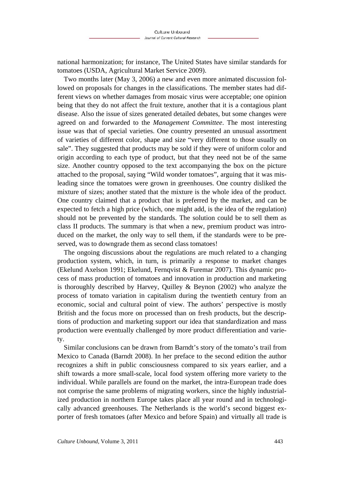national harmonization; for instance, The United States have similar standards for tomatoes (USDA, Agricultural Market Service 2009).

Two months later (May 3, 2006) a new and even more animated discussion followed on proposals for changes in the classifications. The member states had different views on whether damages from mosaic virus were acceptable; one opinion being that they do not affect the fruit texture, another that it is a contagious plant disease. Also the issue of sizes generated detailed debates, but some changes were agreed on and forwarded to the *Management Committee*. The most interesting issue was that of special varieties. One country presented an unusual assortment of varieties of different color, shape and size "very different to those usually on sale". They suggested that products may be sold if they were of uniform color and origin according to each type of product, but that they need not be of the same size. Another country opposed to the text accompanying the box on the picture attached to the proposal, saying "Wild wonder tomatoes", arguing that it was misleading since the tomatoes were grown in greenhouses. One country disliked the mixture of sizes; another stated that the mixture is the whole idea of the product. One country claimed that a product that is preferred by the market, and can be expected to fetch a high price (which, one might add, is the idea of the regulation) should not be prevented by the standards. The solution could be to sell them as class II products. The summary is that when a new, premium product was introduced on the market, the only way to sell them, if the standards were to be preserved, was to downgrade them as second class tomatoes!

The ongoing discussions about the regulations are much related to a changing production system, which, in turn, is primarily a response to market changes (Ekelund Axelson 1991; Ekelund, Fernqvist & Furemar 2007). This dynamic process of mass production of tomatoes and innovation in production and marketing is thoroughly described by Harvey, Quilley & Beynon (2002) who analyze the process of tomato variation in capitalism during the twentieth century from an economic, social and cultural point of view. The authors' perspective is mostly British and the focus more on processed than on fresh products, but the descriptions of production and marketing support our idea that standardization and mass production were eventually challenged by more product differentiation and variety.

Similar conclusions can be drawn from Barndt's story of the tomato's trail from Mexico to Canada (Barndt 2008). In her preface to the second edition the author recognizes a shift in public consciousness compared to six years earlier, and a shift towards a more small-scale, local food system offering more variety to the individual. While parallels are found on the market, the intra-European trade does not comprise the same problems of migrating workers, since the highly industrialized production in northern Europe takes place all year round and in technologically advanced greenhouses. The Netherlands is the world's second biggest exporter of fresh tomatoes (after Mexico and before Spain) and virtually all trade is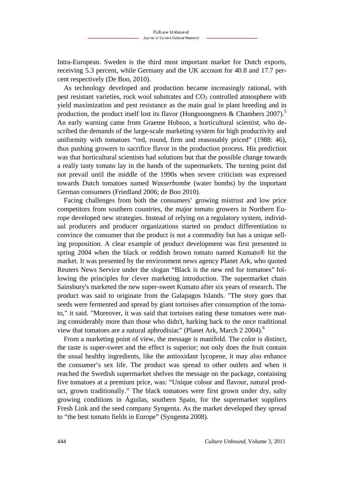Intra-European. Sweden is the third most important market for Dutch exports, receiving 5.3 percent, while Germany and the UK account for 40.8 and 17.7 percent respectively (De Boo, 2010).

As technology developed and production became increasingly rational, with pest resistant varieties, rock wool substrates and  $CO<sub>2</sub>$  controlled atmosphere with yield maximization and pest resistance as the main goal in plant breeding and in production, the product itself lost its flavor (Hongsoongnern & Chambers 2007).<sup>5</sup> An early warning came from Graeme Hobson, a horticultural scientist, who described the demands of the large-scale marketing system for high productivity and uniformity with tomatoes "red, round, firm and reasonably priced" (1988: 46), thus pushing growers to sacrifice flavor in the production process. His prediction was that horticultural scientists had solutions but that the possible change towards a really tasty tomato lay in the hands of the supermarkets. The turning point did not prevail until the middle of the 1990s when severe criticism was expressed towards Dutch tomatoes named *Wasserbombe* (water bombs) by the important German consumers (Friedland 2006; de Boo 2010).

Facing challenges from both the consumers' growing mistrust and low price competitors from southern countries, the major tomato growers in Northern Europe developed new strategies. Instead of relying on a regulatory system, individual producers and producer organizations started on product differentiation to convince the consumer that the product is not a commodity but has a unique selling proposition. A clear example of product development was first presented in spring 2004 when the black or reddish brown tomato named Kumato® hit the market. It was presented by the environment news agency Planet Ark, who quoted Reuters News Service under the slogan "Black is the new red for tomatoes" following the principles for clever marketing introduction. The supermarket chain Sainsbury's marketed the new super-sweet Kumato after six years of research. The product was said to originate from the Galapagos Islands. "The story goes that seeds were fermented and spread by giant tortoises after consumption of the tomato," it said. "Moreover, it was said that tortoises eating these tomatoes were mating considerably more than those who didn't, harking back to the once traditional view that tomatoes are a natural aphrodisiac" (Planet Ark, March 2 2004).<sup>6</sup>

From a marketing point of view, the message is manifold. The color is distinct, the taste is super-sweet and the effect is superior; not only does the fruit contain the usual healthy ingredients, like the antioxidant lycopene, it may also enhance the consumer's sex life. The product was spread to other outlets and when it reached the Swedish supermarket shelves the message on the package, containing five tomatoes at a premium price, was: "Unique colour and flavour, natural product, grown traditionally." The black tomatoes were first grown under dry, salty growing conditions in Águilas, southern Spain, for the supermarket suppliers Fresh Link and the seed company Syngenta. As the market developed they spread to "the best tomato fields in Europe" (Syngenta 2008).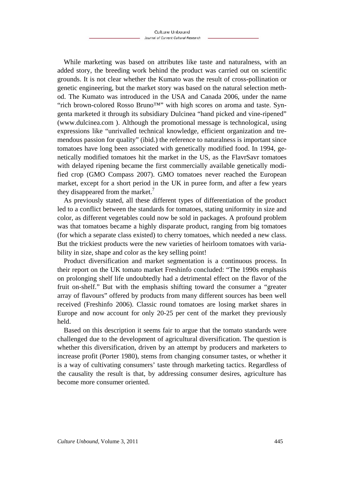While marketing was based on attributes like taste and naturalness, with an added story, the breeding work behind the product was carried out on scientific grounds. It is not clear whether the Kumato was the result of cross-pollination or genetic engineering, but the market story was based on the natural selection method. The Kumato was introduced in the USA and Canada 2006, under the name "rich brown-colored Rosso Bruno™" with high scores on aroma and taste. Syngenta marketed it through its subsidiary Dulcinea "hand picked and vine-ripened" (www.dulcinea.com ). Although the promotional message is technological, using expressions like "unrivalled technical knowledge, efficient organization and tremendous passion for quality" (ibid.) the reference to naturalness is important since tomatoes have long been associated with genetically modified food. In 1994, genetically modified tomatoes hit the market in the US, as the FlavrSavr tomatoes with delayed ripening became the first commercially available genetically modified crop (GMO Compass 2007). GMO tomatoes never reached the European market, except for a short period in the UK in puree form, and after a few years they disappeared from the market.<sup>7</sup>

As previously stated, all these different types of differentiation of the product led to a conflict between the standards for tomatoes, stating uniformity in size and color, as different vegetables could now be sold in packages. A profound problem was that tomatoes became a highly disparate product, ranging from big tomatoes (for which a separate class existed) to cherry tomatoes, which needed a new class. But the trickiest products were the new varieties of heirloom tomatoes with variability in size, shape and color as the key selling point!

Product diversification and market segmentation is a continuous process. In their report on the UK tomato market Freshinfo concluded: "The 1990s emphasis on prolonging shelf life undoubtedly had a detrimental effect on the flavor of the fruit on-shelf." But with the emphasis shifting toward the consumer a "greater array of flavours" offered by products from many different sources has been well received (Freshinfo 2006). Classic round tomatoes are losing market shares in Europe and now account for only 20-25 per cent of the market they previously held.

Based on this description it seems fair to argue that the tomato standards were challenged due to the development of agricultural diversification. The question is whether this diversification, driven by an attempt by producers and marketers to increase profit (Porter 1980), stems from changing consumer tastes, or whether it is a way of cultivating consumers' taste through marketing tactics. Regardless of the causality the result is that, by addressing consumer desires, agriculture has become more consumer oriented.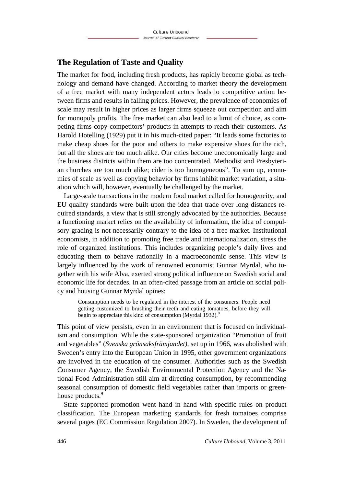## **The Regulation of Taste and Quality**

The market for food, including fresh products, has rapidly become global as technology and demand have changed. According to market theory the development of a free market with many independent actors leads to competitive action between firms and results in falling prices. However, the prevalence of economies of scale may result in higher prices as larger firms squeeze out competition and aim for monopoly profits. The free market can also lead to a limit of choice, as competing firms copy competitors' products in attempts to reach their customers. As Harold Hotelling (1929) put it in his much-cited paper: "It leads some factories to make cheap shoes for the poor and others to make expensive shoes for the rich, but all the shoes are too much alike. Our cities become uneconomically large and the business districts within them are too concentrated. Methodist and Presbyterian churches are too much alike; cider is too homogeneous". To sum up, economies of scale as well as copying behavior by firms inhibit market variation, a situation which will, however, eventually be challenged by the market.

Large-scale transactions in the modern food market called for homogeneity, and EU quality standards were built upon the idea that trade over long distances required standards, a view that is still strongly advocated by the authorities. Because a functioning market relies on the availability of information, the idea of compulsory grading is not necessarily contrary to the idea of a free market. Institutional economists, in addition to promoting free trade and internationalization, stress the role of organized institutions. This includes organizing people's daily lives and educating them to behave rationally in a macroeconomic sense. This view is largely influenced by the work of renowned economist Gunnar Myrdal, who together with his wife Alva, exerted strong political influence on Swedish social and economic life for decades. In an often-cited passage from an article on social policy and housing Gunnar Myrdal opines:

Consumption needs to be regulated in the interest of the consumers. People need getting customized to brushing their teeth and eating tomatoes, before they will begin to appreciate this kind of consumption (Myrdal 1932).<sup>8</sup>

This point of view persists, even in an environment that is focused on individualism and consumption. While the state-sponsored organization "Promotion of fruit and vegetables" (*Svenska grönsaksfrämjandet)*, set up in 1966, was abolished with Sweden's entry into the European Union in 1995, other government organizations are involved in the education of the consumer. Authorities such as the Swedish Consumer Agency, the Swedish Environmental Protection Agency and the National Food Administration still aim at directing consumption, by recommending seasonal consumption of domestic field vegetables rather than imports or greenhouse products.<sup>9</sup>

State supported promotion went hand in hand with specific rules on product classification. The European marketing standards for fresh tomatoes comprise several pages (EC Commission Regulation 2007). In Sweden, the development of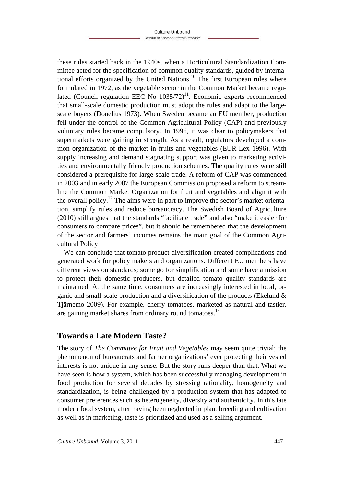these rules started back in the 1940s, when a Horticultural Standardization Committee acted for the specification of common quality standards, guided by international efforts organized by the United Nations.<sup>10</sup> The first European rules where formulated in 1972, as the vegetable sector in the Common Market became regulated (Council regulation EEC No  $1035/72$ )<sup>11</sup>. Economic experts recommended that small-scale domestic production must adopt the rules and adapt to the largescale buyers (Donelius 1973). When Sweden became an EU member, production fell under the control of the Common Agricultural Policy (CAP) and previously voluntary rules became compulsory. In 1996, it was clear to policymakers that supermarkets were gaining in strength. As a result, regulators developed a common organization of the market in fruits and vegetables (EUR-Lex 1996). With supply increasing and demand stagnating support was given to marketing activities and environmentally friendly production schemes. The quality rules were still considered a prerequisite for large-scale trade. A reform of CAP was commenced in 2003 and in early 2007 the European Commission proposed a reform to streamline the Common Market Organization for fruit and vegetables and align it with the overall policy.<sup>12</sup> The aims were in part to improve the sector's market orientation, simplify rules and reduce bureaucracy. The Swedish Board of Agriculture (2010) still argues that the standards "facilitate trade**"** and also "make it easier for consumers to compare prices", but it should be remembered that the development of the sector and farmers' incomes remains the main goal of the Common Agricultural Policy

We can conclude that tomato product diversification created complications and generated work for policy makers and organizations. Different EU members have different views on standards; some go for simplification and some have a mission to protect their domestic producers, but detailed tomato quality standards are maintained. At the same time, consumers are increasingly interested in local, organic and small-scale production and a diversification of the products (Ekelund & Tjärnemo 2009). For example, cherry tomatoes, marketed as natural and tastier, are gaining market shares from ordinary round tomatoes.<sup>13</sup>

## **Towards a Late Modern Taste?**

The story of *The Committee for Fruit and Vegetables* may seem quite trivial; the phenomenon of bureaucrats and farmer organizations' ever protecting their vested interests is not unique in any sense. But the story runs deeper than that. What we have seen is how a system, which has been successfully managing development in food production for several decades by stressing rationality, homogeneity and standardization, is being challenged by a production system that has adapted to consumer preferences such as heterogeneity, diversity and authenticity. In this late modern food system, after having been neglected in plant breeding and cultivation as well as in marketing, taste is prioritized and used as a selling argument.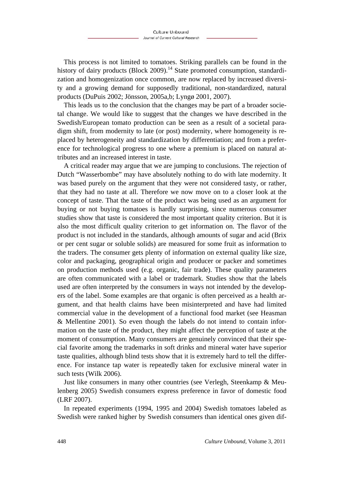This process is not limited to tomatoes. Striking parallels can be found in the history of dairy products (Block 2009).<sup>14</sup> State promoted consumption, standardization and homogenization once common, are now replaced by increased diversity and a growing demand for supposedly traditional, non-standardized, natural products (DuPuis 2002; Jönsson, 2005a,b; Lyngø 2001, 2007).

This leads us to the conclusion that the changes may be part of a broader societal change. We would like to suggest that the changes we have described in the Swedish/European tomato production can be seen as a result of a societal paradigm shift, from modernity to late (or post) modernity, where homogeneity is replaced by heterogeneity and standardization by differentiation; and from a preference for technological progress to one where a premium is placed on natural attributes and an increased interest in taste.

A critical reader may argue that we are jumping to conclusions. The rejection of Dutch "Wasserbombe" may have absolutely nothing to do with late modernity. It was based purely on the argument that they were not considered tasty, or rather, that they had no taste at all. Therefore we now move on to a closer look at the concept of taste. That the taste of the product was being used as an argument for buying or not buying tomatoes is hardly surprising, since numerous consumer studies show that taste is considered the most important quality criterion. But it is also the most difficult quality criterion to get information on. The flavor of the product is not included in the standards, although amounts of sugar and acid (Brix or per cent sugar or soluble solids) are measured for some fruit as information to the traders. The consumer gets plenty of information on external quality like size, color and packaging, geographical origin and producer or packer and sometimes on production methods used (e.g. organic, fair trade). These quality parameters are often communicated with a label or trademark. Studies show that the labels used are often interpreted by the consumers in ways not intended by the developers of the label. Some examples are that organic is often perceived as a health argument, and that health claims have been misinterpreted and have had limited commercial value in the development of a functional food market (see Heasman & Mellentine 2001). So even though the labels do not intend to contain information on the taste of the product, they might affect the perception of taste at the moment of consumption. Many consumers are genuinely convinced that their special favorite among the trademarks in soft drinks and mineral water have superior taste qualities, although blind tests show that it is extremely hard to tell the difference. For instance tap water is repeatedly taken for exclusive mineral water in such tests (Wilk 2006).

Just like consumers in many other countries (see Verlegh, Steenkamp & Meulenberg 2005) Swedish consumers express preference in favor of domestic food (LRF 2007).

In repeated experiments (1994, 1995 and 2004) Swedish tomatoes labeled as Swedish were ranked higher by Swedish consumers than identical ones given dif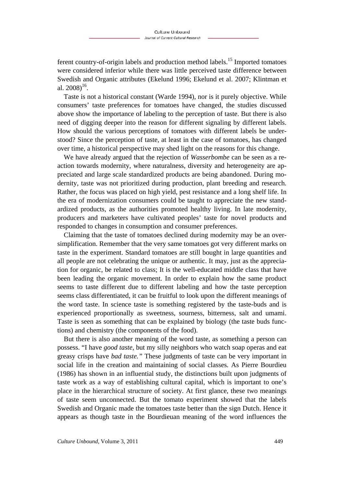ferent country-of-origin labels and production method labels.<sup>15</sup> Imported tomatoes were considered inferior while there was little perceived taste difference between Swedish and Organic attributes (Ekelund 1996; Ekelund et al. 2007; Klintman et al.  $2008$ <sup>16</sup>.

Taste is not a historical constant (Warde 1994), nor is it purely objective. While consumers' taste preferences for tomatoes have changed, the studies discussed above show the importance of labeling to the perception of taste. But there is also need of digging deeper into the reason for different signaling by different labels. How should the various perceptions of tomatoes with different labels be understood? Since the perception of taste, at least in the case of tomatoes, has changed over time, a historical perspective may shed light on the reasons for this change.

We have already argued that the rejection of *Wasserbombe* can be seen as a reaction towards modernity, where naturalness, diversity and heterogeneity are appreciated and large scale standardized products are being abandoned. During modernity, taste was not prioritized during production, plant breeding and research. Rather, the focus was placed on high yield, pest resistance and a long shelf life. In the era of modernization consumers could be taught to appreciate the new standardized products, as the authorities promoted healthy living. In late modernity, producers and marketers have cultivated peoples' taste for novel products and responded to changes in consumption and consumer preferences.

Claiming that the taste of tomatoes declined during modernity may be an oversimplification. Remember that the very same tomatoes got very different marks on taste in the experiment. Standard tomatoes are still bought in large quantities and all people are not celebrating the unique or authentic. It may, just as the appreciation for organic, be related to class; It is the well-educated middle class that have been leading the organic movement. In order to explain how the same product seems to taste different due to different labeling and how the taste perception seems class differentiated, it can be fruitful to look upon the different meanings of the word taste. In science taste is something registered by the taste-buds and is experienced proportionally as sweetness, sourness, bitterness, salt and umami. Taste is seen as something that can be explained by biology (the taste buds functions) and chemistry (the components of the food).

But there is also another meaning of the word taste, as something a person can possess. "I have *good taste*, but my silly neighbors who watch soap operas and eat greasy crisps have *bad taste."* These judgments of taste can be very important in social life in the creation and maintaining of social classes. As Pierre Bourdieu (1986) has shown in an influential study, the distinctions built upon judgments of taste work as a way of establishing cultural capital, which is important to one's place in the hierarchical structure of society. At first glance, these two meanings of taste seem unconnected. But the tomato experiment showed that the labels Swedish and Organic made the tomatoes taste better than the sign Dutch. Hence it appears as though taste in the Bourdieuan meaning of the word influences the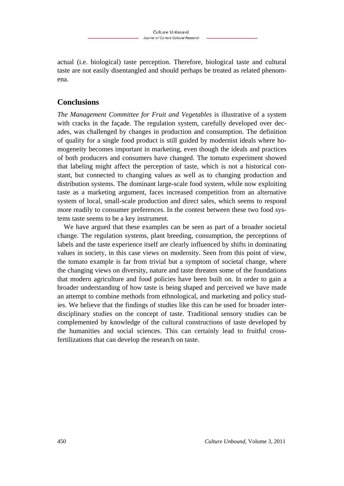actual (i.e. biological) taste perception. Therefore, biological taste and cultural taste are not easily disentangled and should perhaps be treated as related phenomena.

### **Conclusions**

*The Management Committee for Fruit and Vegetables* is illustrative of a system with cracks in the façade. The regulation system, carefully developed over decades, was challenged by changes in production and consumption. The definition of quality for a single food product is still guided by modernist ideals where homogeneity becomes important in marketing, even though the ideals and practices of both producers and consumers have changed. The tomato experiment showed that labeling might affect the perception of taste, which is not a historical constant, but connected to changing values as well as to changing production and distribution systems. The dominant large-scale food system, while now exploiting taste as a marketing argument, faces increased competition from an alternative system of local, small-scale production and direct sales, which seems to respond more readily to consumer preferences. In the contest between these two food systems taste seems to be a key instrument.

We have argued that these examples can be seen as part of a broader societal change. The regulation systems, plant breeding, consumption, the perceptions of labels and the taste experience itself are clearly influenced by shifts in dominating values in society, in this case views on modernity. Seen from this point of view, the tomato example is far from trivial but a symptom of societal change, where the changing views on diversity, nature and taste threaten some of the foundations that modern agriculture and food policies have been built on. In order to gain a broader understanding of how taste is being shaped and perceived we have made an attempt to combine methods from ethnological, and marketing and policy studies. We believe that the findings of studies like this can be used for broader interdisciplinary studies on the concept of taste. Traditional sensory studies can be complemented by knowledge of the cultural constructions of taste developed by the humanities and social sciences. This can certainly lead to fruitful crossfertilizations that can develop the research on taste.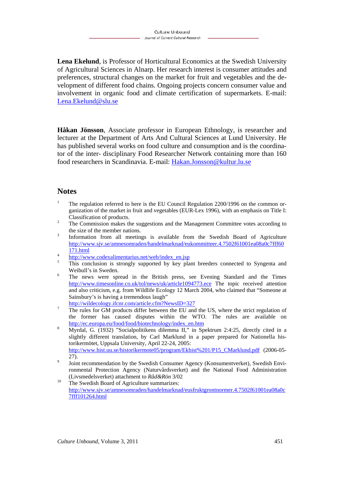**Lena Ekelund***,* is Professor of Horticultural Economics at the Swedish University of Agricultural Sciences in Alnarp. Her research interest is consumer attitudes and preferences, structural changes on the market for fruit and vegetables and the development of different food chains. Ongoing projects concern consumer value and involvement in organic food and climate certification of supermarkets. E-mail: Lena.Ekelund@slu.se

**Håkan Jönsson**, Associate professor in European Ethnology, is researcher and lecturer at the Department of Arts And Cultural Sciences at Lund University. He has published several works on food culture and consumption and is the coordinator of the inter- disciplinary Food Researcher Network containing more than 160 food researchers in Scandinavia. E-mail: Hakan.Jonsson@kultur.lu.se

#### **Notes**

- 1 The regulation referred to here is the EU Council Regulation 2200/1996 on the common organization of the market in fruit and vegetables (EUR-Lex 1996), with an emphasis on Title I: Classification of products.
- The Commission makes the suggestions and the Management Committee votes according to the size of the member nations.
- Information from all meetings is available from the Swedish Board of Agriculture http://www.sjv.se/amnesomraden/handelmarknad/eukommitteer.4.7502f61001ea08a0c7fff60  $\frac{171. \text{html}}{4}$
- $\frac{h_{\text{t}}}{g}$  http://www.codexalimentarius.net/web/index\_en.jsp
- This conclusion is strongly supported by key plant breeders connected to Syngenta and Weibull's in Sweden.
- The news were spread in the British press, see Evening Standard and the Times http://www.timesonline.co.uk/tol/news/uk/article1094773.ece The topic received attention and also criticism, e.g. from Wildlife Ecology 12 March 2004, who claimed that "Someone at Sainsbury's is having a tremendous laugh"
- http://wildecology.ifcnr.com/article.cfm?NewsID=327 The rules for GM products differ between the EU and the US, where the strict regulation of the former has caused disputes within the WTO. The rules are available on http://ec.europa.eu/food/food/biotechnology/index\_en.htm
- Myrdal, G. (1932) "Socialpolitikens dilemma II," in Spektrum 2:4:25, directly cited in a slightly different translation, by Carl Marklund in a paper prepared for Nationella historikermötet, Uppsala University, April 22-24, 2005: http://www.hist.uu.se/historikermote05/program/Ekhist%201/P15\_CMarklund.pdf (2006-05-  $27$ ).
- Joint recommendation by the Swedish Consumer Agency (Konsumentverket), Swedish Environmental Protection Agency (Naturvårdsverket) and the National Food Administration (Livsmedelsverket) attachment to *Råd&Rön* 3/02<br><sup>10</sup> The Swedish Board of Agriculture summarizes:
- http://www.sjv.se/amnesomraden/handelmarknad/eusfruktgrontnormer.4.7502f61001ea08a0c 7fff101264.html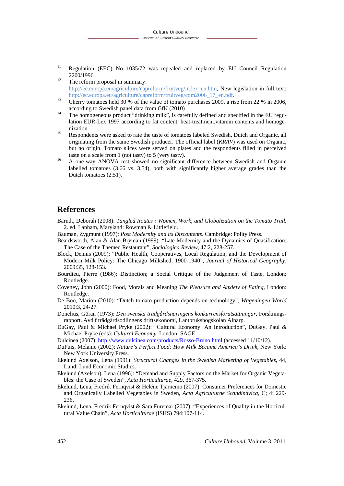- <sup>11</sup> Regulation (EEC) No 1035/72 was repealed and replaced by EU Council Regulation  $2200/1996$ <br><sup>12</sup> The reform proposal in summary:
- http://ec.europa.eu/agriculture/capreform/fruitveg/index\_en.htm, New legislation in full text:
- http://ec.europa.eu/agriculture/capreform/fruitveg/com2006\_17\_en.pdf.<br><sup>13</sup> Cherry tomatoes held 30 % of the value of tomato purchases 2009, a rise from 22 % in 2006, according to Swedish panel data from GfK (2010)<br><sup>14</sup> The homogeneous product "drinking milk", is carefully defined and specified in the EU regu-
- lation EUR-Lex 1997 according to fat content, heat-treatment, vitamin contents and homogenization.<br><sup>15</sup> Respondents were asked to rate the taste of tomatoes labeled Swedish, Dutch and Organic, all
- originating from the same Swedish producer. The official label (*KRAV*) was used on Organic, but no origin. Tomato slices were served on plates and the respondents filled in perceived taste on a scale from 1 (not tasty) to 5 (very tasty).<br>
<sup>16</sup> A one-way ANOVA test showed no significant difference between Swedish and Organic
- labelled tomatoes (3.66 vs. 3.54), both with significantly higher average grades than the Dutch tomatoes (2.51).

#### **References**

- Barndt, Deborah (2008): *Tangled Routes : Women, Work, and Globalization on the Tomato Trail.*  2. ed. Lanham, Maryland: Rowman & Littlefield.
- Bauman, Zygmunt (1997): *Post Modernity and its Discontents*. Cambridge: Polity Press.
- Beardsworth, Alan & Alan Bryman (1999): "Late Modernity and the Dynamics of Quasification: The Case of the Themed Restaurant", *Sociologica Review*, 47:2, 228-257.
- Block, Dennis (2009): "Public Health, Cooperatives, Local Regulation, and the Development of Modern Milk Policy: The Chicago Milkshed, 1900-1940", *Journal of Historical Geography*, 2009:35, 128-153.
- Bourdieu, Pierre (1986): Distinction; a Social Critique of the Judgement of Taste, London: Routledge.
- Coveney, John (2000): Food, Morals and Meaning *The Pleasure and Anxiety of Eating*, London: Routledge.
- De Boo, Marion (2010): "Dutch tomato production depends on technology", *Wageningen World* 2010:3, 24-27.
- Donelius, Göran (1973): *Den svenska trädgårdsnäringens konkurrensförutsättningar,* Forskningsrapport. Avd.f trädgårdsodlingens driftsekonomi, Lantbrukshögskolan Alnarp.
- DuGay, Paul & Michael Pryke (2002): "Cultural Economy: An Introduction", DuGay, Paul & Michael Pryke (eds): *Cultural Economy*, London: SAGE.

Dulcinea (2007): http://www.dulcinea.com/products/Rosso-Bruno.html (accessed 11/10/12).

- DuPuis, Melanie (2002): *Nature's Perfect Food: How Milk Became America's Drink*, New York: New York University Press.
- Ekelund Axelson, Lena (1991): *Structural Changes in the Swedish Marketing of Vegetables*, 44, Lund: Lund Economic Studies.
- Ekelund (Axelson), Lena (1996): "Demand and Supply Factors on the Market for Organic Vegetables: the Case of Sweden", *Acta Horticulturae*, 429, 367-375.
- Ekelund, Lena, Fredrik Fernqvist & Heléne Tjärnemo (2007): Consumer Preferences for Domestic and Organically Labelled Vegetables in Sweden, *Acta Agriculturae Scandinavica*, C; 4: 229- 236.
- Ekelund, Lena, Fredrik Fernqvist & Sara Furemar (2007): "Experiences of Quality in the Horticultural Value Chain", *Acta Horticulturae* (ISHS) 794:107-114.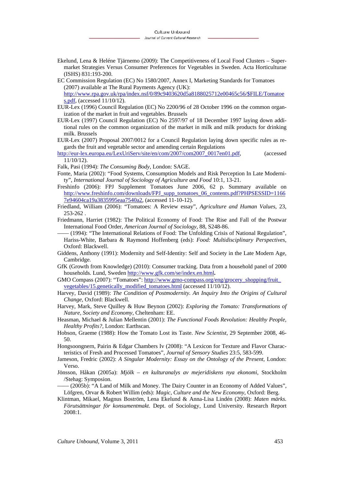- Ekelund, Lena & Heléne Tjärnemo (2009): The Competitiveness of Local Food Clusters Supermarket Strategies Versus Consumer Preferences for Vegetables in Sweden. Acta Horticulturae (ISHS) 831:193-200.
- EC Commission Regulation (EC) No 1580/2007, Annex I, Marketing Standards for Tomatoes (2007) available at The Rural Payments Agency (UK): http://www.rpa.gov.uk/rpa/index.nsf/0/89c9403620d5a8188025712e00465c56/\$FILE/Tomatoe s.pdf, (accessed 11/10/12).
- EUR-Lex (1996) Council Regulation (EC) No 2200/96 of 28 October 1996 on the common organization of the market in fruit and vegetables. Brussels
- EUR-Lex (1997) Council Regulation (EC) No 2597/97 of 18 December 1997 laying down additional rules on the common organization of the market in milk and milk products for drinking milk. Brussels
- EUR-Lex (2007) Proposal 2007/0012 for a Council Regulation laying down specific rules as regards the fruit and vegetable sector and amending certain Regulations
- http://eur-lex.europa.eu/LexUriServ/site/en/com/2007/com2007\_0017en01.pdf, (accessed 11/10/12).
- Falk, Pasi (1994): *The Consuming Body*, London: SAGE.
- Fonte, Maria (2002): "Food Systems, Consumption Models and Risk Perception In Late Modernity", *International Journal of Sociology of Agriculture and Food* 10:1, 13-21.
- Freshinfo (2006): FPJ Supplement Tomatoes June 2006, 62 p. Summary available on http://www.freshinfo.com/downloads/FPJ\_supp\_tomatoes\_06\_contents.pdf?PHPSESSID=1166 7e94604ca19a3835995eaa7540a2, (accessed 11-10-12).
- Friedland, William (2006): "Tomatoes: A Review essay", *Agriculture and Human Values*, 23, 253-262 .
- Friedmann, Harriet (1982): The Political Economy of Food: The Rise and Fall of the Postwar International Food Order, *American Journal of Sociology*, 88, S248-86.
- –––– (1994): "The International Relations of Food: The Unfolding Crisis of National Regulation", Hariss-White, Barbara & Raymond Hoffenberg (eds): *Food: Multidisciplinary Perspectives*, Oxford: Blackwell.
- Giddens, Anthony (1991): Modernity and Self-Identity: Self and Society in the Late Modern Age, Cambridge.
- GfK (Growth from Knowledge) (2010): Consumer tracking. Data from a household panel of 2000 households. Lund, Sweden http://www.gfk.com/se/index.en.html**.**
- GMO Compass (2007): "Tomatoes": http://www.gmo-compass.org/eng/grocery\_shopping/fruit vegetables/15.genetically\_modified\_tomatoes.html (accessed 11/10/12).
- Harvey, David (1989): *The Condition of Postmodernity. An Inquiry Into the Origins of Cultural Change*, Oxford: Blackwell.
- Harvey, Mark, Steve Quilley & Huw Beynon (2002): *Exploring the Tomato: Transformations of Nature, Society and Economy*, Cheltenham: EE.
- Heasman, Michael & Julian Mellentin (2001): *The Functional Foods Revolution: Healthy People, Healthy Profits?*, London: Earthscan.
- Hobson, Graeme (1988): How the Tomato Lost its Taste. *New Scientist*, 29 September 2008, 46- 50.
- Hongsoongnern, Pairin & Edgar Chambers Iv (2008): "A Lexicon for Texture and Flavor Characteristics of Fresh and Processed Tomatoes", *Journal of Sensory Studies* 23:5, 583-599.
- Jameson, Fredric (2002): *A Singular Modernity: Essay on the Ontology of the Present*, London: Verso.
- Jönsson, Håkan (2005a): *Mjölk en kulturanalys av mejeridiskens nya ekonomi*, Stockholm /Stehag: Symposion.
- (2005b): "A Land of Milk and Money. The Dairy Counter in an Economy of Added Values", Löfgren, Orvar & Robert Willim (eds): *Magic, Culture and the New Economy*, Oxford: Berg.
- Klintman, Mikael, Magnus Boström, Lena Ekelund & Anna-Lisa Lindén (2008): *Maten märks. Förutsättningar för konsumentmakt*. Dept. of Sociology, Lund University. Research Report 2008:1.